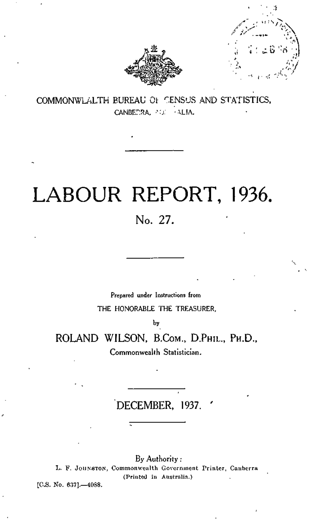



COMMONWLALTH BUREAU Ot CENSUS AND STATISTICS, CANBERRA, *>:y.* -ALIA.

## LABOUR REPORT, 1936.

No. 27.

Prepared under Instructions from THE HONORABLE THE TREASURER,

**by** 

ROLAND WILSON, B.COM., D.PHIL., PH.D.,

Commonwealth Statistician.

DECEMBER, 1937.

By Authority : L. F. JOHNSTON, Commonwealth Government Printer, Canberra (Printed in Australia.) [C.S. No. 637].—4088.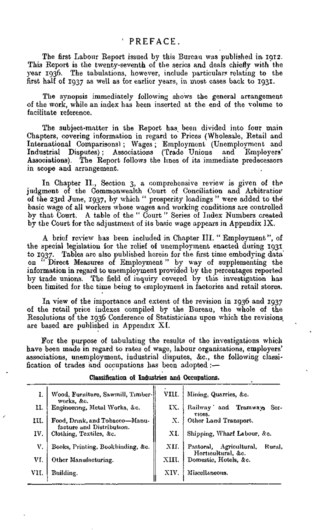The first Labour Report issued by this Bureau was published in 1912. This Beport is the twenty-seventh of the series and deals chiefly with the year 1936. The tabulations, however, include particulars relating to the first half of 1937 as well as for earlier years, in most cases back to 1931.

The synopsis immediately following shows the general arrangement of the work, while an index has been inserted at the end of the volume to facilitate reference.

The subject-matter in the Report has been divided into four main Chapters, covering information in regard to Prices (Wholesale, Retail and International Comparisons! ; Wages; Employment (Unemployment and Industrial Disputes) ; Associations (Trade Unions and Employers' Associations). The Report follows the lines of its immediate predecessors in scope and arrangement.

In Chapter II., Section 3, a comprehensive review is given of the\* judgment of the Commonwealth Court of Conciliation and Arbitration of the 23rd June, 1937, by which " prosperity loadings " were added to the basic wage of all workers whose wages and working conditions are controlled by that Court. A table of the " Court " Series of Index Numbers created by the Court for the adjustment of its basic wage appears in Appendix IX.

A brief review has been included in Chapter III. "Employment" , of the special legislation for the relief of unemployment enacted during 1931 to 1937. Tables arc also published herein for the first time embodying data on " Direct Measures of Employment" by way of supplementing the information in regard to unemployment provided by the percentages reported by trade unions. The field of inquiry covered by this investigation has been limited for the time being to employment in factories and retail stores.

In view of the importance and extent of the revision in 1936 and 1937 of the retail price indexes compiled by the Bureau, the whole of the Resolutions of the 1936 Conference of Statisticians upon which the revisions are based are published in Appendix XI.

For the purpose of tabulating the results of the investigations which have been made in regard to rates of wage, labour organizations, employers' associations, unemployment, industrial disputes, &c, the following classification of trades and occupations has been adopted :-

|      | Wood, Furniture, Sawmill, Timber-<br>works, &c.      | vцг.  | Mining, Quarries, &c.                       |
|------|------------------------------------------------------|-------|---------------------------------------------|
| 11.  | Engineering, Metal Works, &c.                        | IX.   | Railway and Tramway<br>Ser-<br>vices.       |
| III. | Food, Drink, and Tobacco-Manu-                       | Х.    | Other Land Transport.                       |
| IV.  | facture and Distribution.<br>Clothing, Textiles, &c. | XI.   | Shipping, Wharf Labour, &c.                 |
| v.   | Books, Printing, Bookbinding, &c.                    | XН.   | Pastoral, Agricultural,<br>Rural,           |
| VI.  | Other Manufacturing.                                 | XIII. | Horticultural, &c.<br>Domestic, Hotels, &c. |
| VII. | Building.                                            | XIV.  | Miscellaneous.                              |
|      |                                                      |       |                                             |

Classification of Industries and Occupations.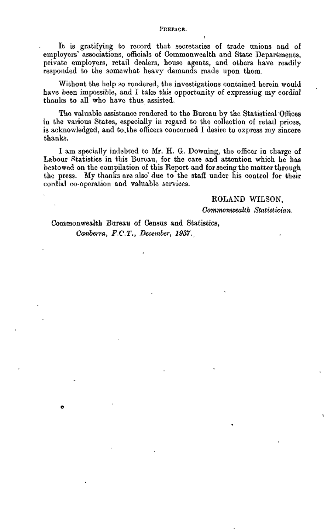It is gratifying to record that secretaries of trade unions and of employers' associations, officials of Commonwealth and State Departments, private employers, retail dealers, house agents, and others have readily responded to the somewhat heavy demands made upon them.

Without the help so rendered, the investigations contained herein would have been impossible, and I take this opportunity of expressing my cordial thanks to all who have thus assisted.

The valuable assistance rendered to the Bureau by the Statistical Offices in the various States, especially in regard to the collection of retail prices, is acknowledged, and to the officers concerned I desire to express my sincere thanks.

I am specially indebted to Mr. H. G. Downing, the officer in charge of Labour Statistics in this Bureau, for the care and attention which he has bestowed on the compilation of this Report and for seeing the matter through the press. My thanks are also' due to the staff under his control for their cordial co-operation and valuable services.

## ROLAND WILSON,

## *Commonwealth Statistician.*

Commonwealth Bureau of Census and Statistics, *Canberra, F.C.T., December, 1937.,* 

*t>*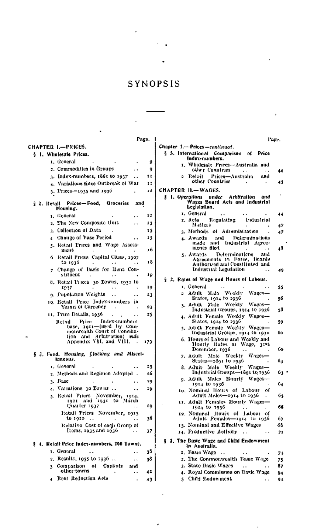## SYNOPSIS

 $\ddot{\phantom{0}}$ 

| Page.                                                                                        | l'age.                                                                                      |
|----------------------------------------------------------------------------------------------|---------------------------------------------------------------------------------------------|
| CHAPTER L-PRICES.                                                                            | Chapter 1.-Prices-continued.                                                                |
| § 1. Wholesale Prices.                                                                       | § 5. International Comparison of<br>Price<br>Index-numbers.                                 |
| 1. General<br>9                                                                              | 1. Wholesale Prices-Australia and                                                           |
| 2. Commodities in Groups<br>g<br>$\ddot{\phantom{0}}$                                        | other Countries<br>44<br>٠.                                                                 |
| 3. līndex-numbers, 1861 to 1937<br>tt                                                        | Retail<br>Prices—Australia<br>nnd                                                           |
| 4. Variations since Outbreak of War<br>11                                                    | other Countries<br>45                                                                       |
| 5. Prices-1935 and 1936<br>12                                                                | CHAPTER IL—WAGES.                                                                           |
| § 2. Retail Prices-Food,<br>Groceries<br>апо<br>Housing.                                     | § I. Operations under Arbitration<br>and<br>Wages Board Acts and Industrial<br>Legislation. |
| 1. General<br>12                                                                             | 1. General<br>44<br>$\ddot{\phantom{0}}$                                                    |
| 2. The New Composite Unit<br>13<br>. .                                                       | 2. Acte<br>Regulating<br>Industrial<br><b>Matters</b><br>47                                 |
| 3. Collection of Data<br>15                                                                  | 3. Methods of Administration<br>47                                                          |
| 4 Chaugo of Base Period<br>15<br>$\ddot{\phantom{1}}$                                        | Taterminations<br>4. Awards<br>and                                                          |
| 5. Retail Prices and Wago Assess-<br>16<br>ment                                              | made and Industrial Agree-<br>ments filed<br>48                                             |
| 6 Retail Prices Capital Cities, 1907                                                         | 5. Awards<br>Determinations<br>and<br>Agreements in Force, Boards                           |
| 18<br>to 1936                                                                                | Authorized and Constituted and                                                              |
| 7 Change of Basis for Rent Con-<br>sintuent<br>19                                            | Industrial Legislation<br>49                                                                |
| 8. Retail Prices 30 Towns, 1932 to                                                           | § 2. Rates of Wage and Hours of Labour.                                                     |
| 19<br>1937                                                                                   | r. General<br>$\cdot$<br>55                                                                 |
| 9. Population Weights<br>23<br>. .<br>$\cdot$ $\cdot$                                        | 2 Adult Male Weekly<br>Wages-                                                               |
| 10. Retail Price Index-numbers in                                                            | States, 1914 to 1936<br>56<br>3. Adult Male Weekly Wages-                                   |
| Terms of Currency<br>23<br>$\cdot$                                                           | 58<br>Industrial Groups, 1914 to 1936                                                       |
| 11, Prico Details, 1936<br>25                                                                | 4. Adult Female Weekly Wages--                                                              |
| Price<br>Betail<br>Index-mumbers<br>base, 1911-(used by Com-<br>monwealth Court of Concilia- | Slates, 1914 to 1936<br>59<br>5. Adult Female Weekly Wages—<br>60                           |
| tion and Arbitration) <i>ende</i>                                                            | Industrial Groups, 1914 to 1930<br>6. Hours of Labour and Weekly and                        |
| Appendix VII, and VIII.<br>179                                                               | Hourly Rates of Wage, 31st<br>December, 1936<br>60<br>$\ddot{\phantom{a}}$                  |
| § 3. Food. Housing, Clothing and Miscel-<br>laneous.                                         | 7. Adult Maie Weekly Wages-<br>States—1891 to 1936<br>63                                    |
| ı. General<br>25                                                                             | 8. Adult Male Weekly Wages-                                                                 |
| 2. Methods and Regimen Adopted .<br>26                                                       | Industrial Groups—1891 to 1936<br>63<br>9. Adult Males Hourly Wages-                        |
| 3. Base<br>29<br>4. Variations 30 Towns<br>20                                                | 1914 to 1936<br>64                                                                          |
| 5. Retail Prices                                                                             | 10, Nominal Hours of Labour<br>оľ<br>Adult Males—1914 to 1936<br>65                         |
| ail Prices November, 1914,<br>1921 and 1931 to March                                         | 11. Adult Females Hourly Wages-                                                             |
| Quarter 1937<br>20                                                                           | 66<br>1914 to 1936                                                                          |
| Retail Prices November, 1915<br>36<br>to 1920                                                | 12. Nominal Hours of Labour of<br>Adult Females—1914 to 1930<br>67                          |
| Relative Cost of each Group of                                                               | 13. Nominal and Effective Wages<br>63                                                       |
| Items, 1935 and 1936<br>37                                                                   | 14. Productive Activity<br>71                                                               |
| § 4. Retail Price Index-numbers, 200 Towns.                                                  | § 3. The Basic Wage and Child Endowment<br>in Australia.                                    |
| 1. General<br>38<br>$\ddot{\phantom{1}}$<br>$\cdot$                                          | 1. Basic Wage<br>71                                                                         |
| 2. Results, 1935 to 1936<br>38<br>k.                                                         | 2. The Commonwealth Basic Wage<br>75                                                        |
| 3 Comparison<br>оf<br>Capitals<br>and                                                        | 3. State Basic Wages<br>87<br>$\ddot{\phantom{a}}$                                          |
| other towns<br>42<br>. .                                                                     | 4. -Royal Commission on Easic Wage<br>94                                                    |
| Rent Reduction Acts<br>43                                                                    | 5 - Child Endowment<br>94                                                                   |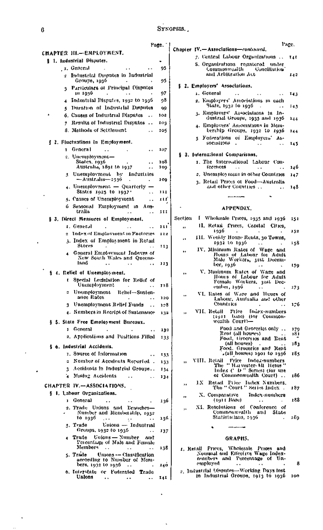|                                                                                                            | Page.      |                                                                                                                                               |
|------------------------------------------------------------------------------------------------------------|------------|-----------------------------------------------------------------------------------------------------------------------------------------------|
| СНАРТЕЯ Ш.-ЕМРЕОУМЕНТ.                                                                                     |            | Chapter IV. - Associations-continued.                                                                                                         |
| § 1. Industrial Disputes.                                                                                  |            | 7. Central Labour Organizati                                                                                                                  |
| . I. General                                                                                               | 95         | S. Organizations registered<br>Commonwealth<br>Gone                                                                                           |
| Industrial Disputes in Industrial<br>4<br>Groupe, 1936                                                     | 95         | and Arbitration Act                                                                                                                           |
| Particulars of Principal Disputes<br>3<br><b>M 1036</b>                                                    | 97         | § 2. Employers' Associations.<br>1. General                                                                                                   |
| 4 - Industrial Disputes, 1932 to 1936                                                                      | 98         | 2. Employers' Associations (                                                                                                                  |
| 5 Duration of Industrial Disputes                                                                          | 99         | State, 1932 to 1936                                                                                                                           |
| 6. Causes of Industrial Disputes<br>$\rightarrow$                                                          | 102        | 3. Employers' Associations<br>dustrial Groups, 1935 ar                                                                                        |
| Results of Industrial Disputes<br>7.                                                                       | 103        | 4. Employers' Associations is                                                                                                                 |
| 8. Methods of Settlement<br>. .                                                                            | 105        | bership (Troups, 1930 t                                                                                                                       |
| f 2. Fluctuations in Employment.                                                                           |            | Federations of Employer<br>к<br>sociations                                                                                                    |
| r General<br>$\cdot$ .<br>$\ddot{\phantom{1}}$                                                             | 107        |                                                                                                                                               |
| 2. Unemployment-<br>States, 1936<br>Australia, 1891 to 1937<br>٠,                                          | 1o3<br>100 | § 3. International Comparisons,<br>1. The International Labou<br>fecences                                                                     |
| 3 Unemployment<br>bv<br>Industries                                                                         |            | 2. Unemployment in other Co                                                                                                                   |
| — Australia— 1936                                                                                          | 100        | 3. Retail Prices of Food—A                                                                                                                    |
| 4. Unemployment — Quarterly —                                                                              |            | and other Countines                                                                                                                           |
| States 1925 to 1937.<br>$\ddot{\phantom{a}}$                                                               | 111        |                                                                                                                                               |
| 5. Causes of Unemployment<br>. .                                                                           | 111        |                                                                                                                                               |
| ú.<br>Seasonal Employment in Aus-<br>tralla<br>٠.                                                          | 311        | APPENDIX.                                                                                                                                     |
| § 3. Direct Measures of Employment,                                                                        |            | Section<br>I Wholesale Prices, 1935 at                                                                                                        |
| r. General                                                                                                 | 1 L I      | II, Retail Prices, Capital<br>,,                                                                                                              |
| 2 Index of Employment in Factories                                                                         | 112        | 1936.                                                                                                                                         |
| 3. Index of Employment in Retail<br>Stores                                                                 | 113        | III.   Weekly House Rents, 30<br>٠,<br>1932 to 1936                                                                                           |
| General Employment Indexes of<br>New South Wales and Queens-<br>land                                       | 113        | IV. Mininum Rates of Wa<br>٠,<br>Homs of Labour for<br>Male Workers, 31st<br>ber, 1936                                                        |
| § 4. Relief of Unemployment,                                                                               |            | V. Manimum Rates of Wa<br>14                                                                                                                  |
| Special Legislation for Rellef of<br>г<br>Unemployment                                                     | 118        | Hours of Labour for<br>Female Workers, 32<br>etnber, 1936                                                                                     |
| Unemployment<br>ē,<br>Rehef—Susten-                                                                        |            | VI, Rates of Ware and It<br>٠,                                                                                                                |
| ance Rates                                                                                                 | 120        | Labour, Australia an                                                                                                                          |
| 3 - Unemployment Relief Funds<br>$\cdot$ .                                                                 | 128        | Contuirics                                                                                                                                    |
| 4. Numbers in Receipt of Sustenance<br>§ \$. State Free Employment Bureaux.                                | 132        | VII. Ketail<br>Price<br>Tnáex-)<br>51<br>base) (for Co<br>(1911<br>wealth Courti-                                                             |
| r General                                                                                                  | 133        | Pood and Grocerles                                                                                                                            |
| 2. Applications and Positions Filled                                                                       | 133        | Rent (all houses).<br>Ролі, Бтосенсв ат                                                                                                       |
| § 6. Industrial Accidents.                                                                                 |            | (all houses)<br>Food, Groceries an                                                                                                            |
| 7. Source of Information                                                                                   | 133        | "(all houses) 1901.                                                                                                                           |
| 2 Number of Accidents Reported .                                                                           | 133        | VIII. Retail<br>Price<br>Index-n<br>12<br>The "Harvester-All                                                                                  |
| Accidents in Industrial Groups<br>3                                                                        | I 34       | Index (' D '' Series)                                                                                                                         |
| Mining Accidents<br>'n.                                                                                    | 134        | ot Commonwealth Co                                                                                                                            |
| CHAPTER IV.-ASSOCIATIONS.                                                                                  |            | 1X Retail Pilee Index N<br>,,<br>The '' Court '' Sories I                                                                                     |
| § 1. Labour Organizations.                                                                                 |            | Tudex n<br>X. Comparative                                                                                                                     |
| 1 General<br>$\ddot{\phantom{1}}$<br>$\ddot{\phantom{0}}$                                                  | 136        | (1911 Base)<br>$\sim$ $\sim$                                                                                                                  |
| 2. Trade Unions and Branches-<br>Number and Membership, 1932<br>to 1936<br>start of the<br>$\sim$ 10 $\pm$ | 136        | XI. Resolutions of Confer-<br>39.<br>Commonwealth and<br>Statisticians, 1936                                                                  |
| 3. Trade<br>Unions - Industrial<br>Groups, 1932 to 1936.                                                   | 137        | سنبعث                                                                                                                                         |
| Unions - Number and<br>4 Trade<br>Percentage of Male and Female<br>Members                                 |            | GRAPHS.                                                                                                                                       |
| $\sim$ 4<br>5. Trade<br>Umons -- Classification<br>according to Number of Mem-<br>bers, 1932 to 1936       | 138<br>140 | r, Retail Prices, Wholesole Pric<br>Nommal and Effective Wage<br>minibers and Percentage<br>empleyed<br>$\ddot{\phantom{1}}$<br>$\sim$ $\sim$ |
| o, Interstate or Federated Trade                                                                           |            | 2. Industrial Useputes-Working D                                                                                                              |

| t of Sustenance                  | 132             | VII, Retail Price Index-numbers<br>53<br>(1911 base) (for Common-<br>wealth Courth-                                         |
|----------------------------------|-----------------|-----------------------------------------------------------------------------------------------------------------------------|
| t Bureaux.                       |                 |                                                                                                                             |
| $\ddot{\phantom{1}}$             | 133             | Pood and Grocerles only<br>Rent (all houses) -                                                                              |
| Positions Filled                 | 133             | Food, Groccres and Reat<br>(all houses)<br><b>Contract State</b><br>Food, Groceries and Rent                                |
| boa                              | 133.            | eall houses) 1901 to 1936,                                                                                                  |
| uts Reported .                   | 133             | VIII, Retail, Price, Index-numbers,<br>12<br>The "Harvester-All Hems"                                                       |
| strial Groups                    | I <sub>34</sub> | Index (' D '' Series) (for use                                                                                              |
|                                  | $13+$           | of Commonwealth Court)                                                                                                      |
| NS.                              |                 | Retail Pilee Index Numbers.<br>1X.<br>,,<br>The " Court " Sories Index                                                      |
|                                  | 136             | X. Comparative Index-numbers<br>$\ddot{}$<br>(tott Base).                                                                   |
| rl Eranches—<br>mberskip, 1932   |                 | XI. Resolutions of Conference of<br>33<br>Commonwealth and Slate                                                            |
| -17                              | 136             | Statistīciaus, 1936                                                                                                         |
| i — Industrial                   |                 |                                                                                                                             |
| 1936.<br>.,                      | 137             |                                                                                                                             |
| Number and<br>de and Female      |                 | GRAPHS.                                                                                                                     |
|                                  | 138             | r, Retail Prices, Wholesnie Prices and                                                                                      |
| – Classification<br>mber of Mem- |                 | Nommal and Effective Wage Index-<br>omabers and Percentage of Un-                                                           |
|                                  | <b>TIO</b>      | empleyed<br>the contract of the contract of the contract of the contract of the contract of the contract of the contract of |

2. Industrial Uteputes-Working Days Inst in Industrial Groups, 1913 to 1936  $141$  $\ddotsc$ 

8

ge Indexof Un-

-100

Page.  $141$ 

 $142$ 

 $143$ 

 $143$  $\sim$ 

 $144$ 

144

 $145$ 

146

147

143  $\ddot{\phantom{0}}$ 

151

152

156

159  $\lambda$ 

173

176  $\sim$   $\sim$ 

 $\begin{array}{c} 179 \\ 181 \end{array}$ 

183

185

186

187

1E3

180

 $\sim$ 

 $\ddot{\phantom{a}}$ 

7. Central Labour Organizations ...

S. Organizations registered under<br>Commonwealth Conciliation and Arbitration Act

2. Employers' Associations in each State, 1932 to 1936 .

3. Employers' Associations in Industrial Groups, 1935 and 1936

4. Employers' Associations in Mem-<br>berahip Groups, 1932 to 1936

5 Federations of Employers' As-

r. The International Labour Con-

2. Unemployment in other Countries

3. Retail Prices of Food-Australia and other Countines ...

APPENDIX. I Wholesale Prices, 1935 and 1936

11. Retail Prices, Capital Cities,

111. Weekly House Rents, 30 Towns, 1932 to 1936

IV. Minimum Rates of Wage and<br>
Bours of Labour for Adult<br>
Male Workers, 31st Decem-

V. Mutimum Rates of Wage and<br>
Hours of Labour for Adult<br>
Fomale Workers, 31st Dec-

VI, Rales of Ware and Huurs of Labour, Australia and other

ß

Unions

 $\sim$   $\sim$ 

 $\bullet$   $\bullet$ 

l,